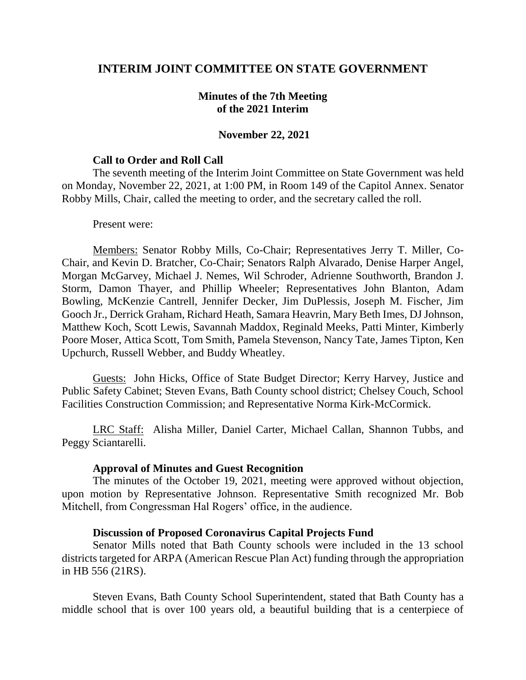# **INTERIM JOINT COMMITTEE ON STATE GOVERNMENT**

## **Minutes of the 7th Meeting of the 2021 Interim**

## **November 22, 2021**

#### **Call to Order and Roll Call**

The seventh meeting of the Interim Joint Committee on State Government was held on Monday, November 22, 2021, at 1:00 PM, in Room 149 of the Capitol Annex. Senator Robby Mills, Chair, called the meeting to order, and the secretary called the roll.

#### Present were:

Members: Senator Robby Mills, Co-Chair; Representatives Jerry T. Miller, Co-Chair, and Kevin D. Bratcher, Co-Chair; Senators Ralph Alvarado, Denise Harper Angel, Morgan McGarvey, Michael J. Nemes, Wil Schroder, Adrienne Southworth, Brandon J. Storm, Damon Thayer, and Phillip Wheeler; Representatives John Blanton, Adam Bowling, McKenzie Cantrell, Jennifer Decker, Jim DuPlessis, Joseph M. Fischer, Jim Gooch Jr., Derrick Graham, Richard Heath, Samara Heavrin, Mary Beth Imes, DJ Johnson, Matthew Koch, Scott Lewis, Savannah Maddox, Reginald Meeks, Patti Minter, Kimberly Poore Moser, Attica Scott, Tom Smith, Pamela Stevenson, Nancy Tate, James Tipton, Ken Upchurch, Russell Webber, and Buddy Wheatley.

Guests: John Hicks, Office of State Budget Director; Kerry Harvey, Justice and Public Safety Cabinet; Steven Evans, Bath County school district; Chelsey Couch, School Facilities Construction Commission; and Representative Norma Kirk-McCormick.

LRC Staff: Alisha Miller, Daniel Carter, Michael Callan, Shannon Tubbs, and Peggy Sciantarelli.

## **Approval of Minutes and Guest Recognition**

The minutes of the October 19, 2021, meeting were approved without objection, upon motion by Representative Johnson. Representative Smith recognized Mr. Bob Mitchell, from Congressman Hal Rogers' office, in the audience.

## **Discussion of Proposed Coronavirus Capital Projects Fund**

Senator Mills noted that Bath County schools were included in the 13 school districts targeted for ARPA (American Rescue Plan Act) funding through the appropriation in HB 556 (21RS).

Steven Evans, Bath County School Superintendent, stated that Bath County has a middle school that is over 100 years old, a beautiful building that is a centerpiece of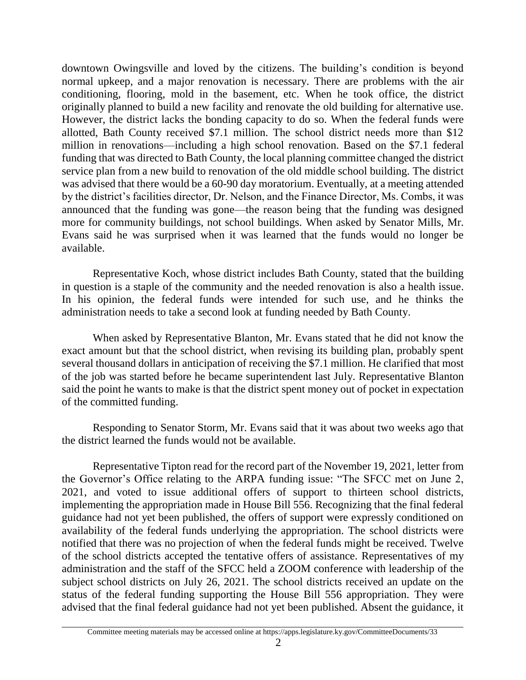downtown Owingsville and loved by the citizens. The building's condition is beyond normal upkeep, and a major renovation is necessary. There are problems with the air conditioning, flooring, mold in the basement, etc. When he took office, the district originally planned to build a new facility and renovate the old building for alternative use. However, the district lacks the bonding capacity to do so. When the federal funds were allotted, Bath County received \$7.1 million. The school district needs more than \$12 million in renovations—including a high school renovation. Based on the \$7.1 federal funding that was directed to Bath County, the local planning committee changed the district service plan from a new build to renovation of the old middle school building. The district was advised that there would be a 60-90 day moratorium. Eventually, at a meeting attended by the district's facilities director, Dr. Nelson, and the Finance Director, Ms. Combs, it was announced that the funding was gone—the reason being that the funding was designed more for community buildings, not school buildings. When asked by Senator Mills, Mr. Evans said he was surprised when it was learned that the funds would no longer be available.

Representative Koch, whose district includes Bath County, stated that the building in question is a staple of the community and the needed renovation is also a health issue. In his opinion, the federal funds were intended for such use, and he thinks the administration needs to take a second look at funding needed by Bath County.

When asked by Representative Blanton, Mr. Evans stated that he did not know the exact amount but that the school district, when revising its building plan, probably spent several thousand dollars in anticipation of receiving the \$7.1 million. He clarified that most of the job was started before he became superintendent last July. Representative Blanton said the point he wants to make is that the district spent money out of pocket in expectation of the committed funding.

Responding to Senator Storm, Mr. Evans said that it was about two weeks ago that the district learned the funds would not be available.

Representative Tipton read for the record part of the November 19, 2021, letter from the Governor's Office relating to the ARPA funding issue: "The SFCC met on June 2, 2021, and voted to issue additional offers of support to thirteen school districts, implementing the appropriation made in House Bill 556. Recognizing that the final federal guidance had not yet been published, the offers of support were expressly conditioned on availability of the federal funds underlying the appropriation. The school districts were notified that there was no projection of when the federal funds might be received. Twelve of the school districts accepted the tentative offers of assistance. Representatives of my administration and the staff of the SFCC held a ZOOM conference with leadership of the subject school districts on July 26, 2021. The school districts received an update on the status of the federal funding supporting the House Bill 556 appropriation. They were advised that the final federal guidance had not yet been published. Absent the guidance, it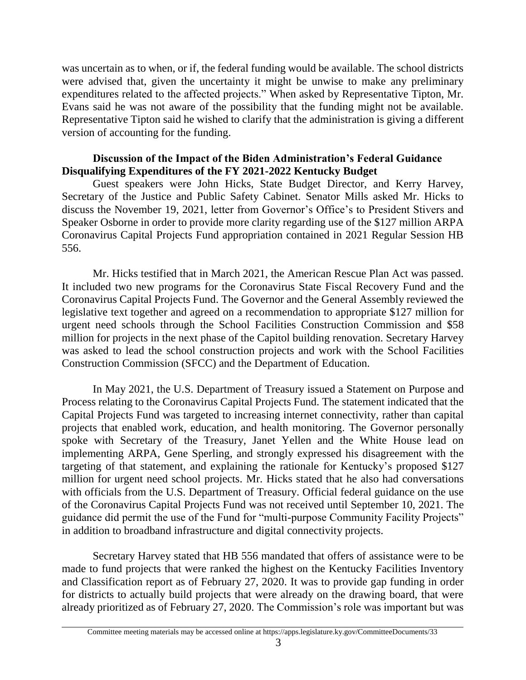was uncertain as to when, or if, the federal funding would be available. The school districts were advised that, given the uncertainty it might be unwise to make any preliminary expenditures related to the affected projects." When asked by Representative Tipton, Mr. Evans said he was not aware of the possibility that the funding might not be available. Representative Tipton said he wished to clarify that the administration is giving a different version of accounting for the funding.

# **Discussion of the Impact of the Biden Administration's Federal Guidance Disqualifying Expenditures of the FY 2021-2022 Kentucky Budget**

Guest speakers were John Hicks, State Budget Director, and Kerry Harvey, Secretary of the Justice and Public Safety Cabinet. Senator Mills asked Mr. Hicks to discuss the November 19, 2021, letter from Governor's Office's to President Stivers and Speaker Osborne in order to provide more clarity regarding use of the \$127 million ARPA Coronavirus Capital Projects Fund appropriation contained in 2021 Regular Session HB 556.

Mr. Hicks testified that in March 2021, the American Rescue Plan Act was passed. It included two new programs for the Coronavirus State Fiscal Recovery Fund and the Coronavirus Capital Projects Fund. The Governor and the General Assembly reviewed the legislative text together and agreed on a recommendation to appropriate \$127 million for urgent need schools through the School Facilities Construction Commission and \$58 million for projects in the next phase of the Capitol building renovation. Secretary Harvey was asked to lead the school construction projects and work with the School Facilities Construction Commission (SFCC) and the Department of Education.

In May 2021, the U.S. Department of Treasury issued a Statement on Purpose and Process relating to the Coronavirus Capital Projects Fund. The statement indicated that the Capital Projects Fund was targeted to increasing internet connectivity, rather than capital projects that enabled work, education, and health monitoring. The Governor personally spoke with Secretary of the Treasury, Janet Yellen and the White House lead on implementing ARPA, Gene Sperling, and strongly expressed his disagreement with the targeting of that statement, and explaining the rationale for Kentucky's proposed \$127 million for urgent need school projects. Mr. Hicks stated that he also had conversations with officials from the U.S. Department of Treasury. Official federal guidance on the use of the Coronavirus Capital Projects Fund was not received until September 10, 2021. The guidance did permit the use of the Fund for "multi-purpose Community Facility Projects" in addition to broadband infrastructure and digital connectivity projects.

Secretary Harvey stated that HB 556 mandated that offers of assistance were to be made to fund projects that were ranked the highest on the Kentucky Facilities Inventory and Classification report as of February 27, 2020. It was to provide gap funding in order for districts to actually build projects that were already on the drawing board, that were already prioritized as of February 27, 2020. The Commission's role was important but was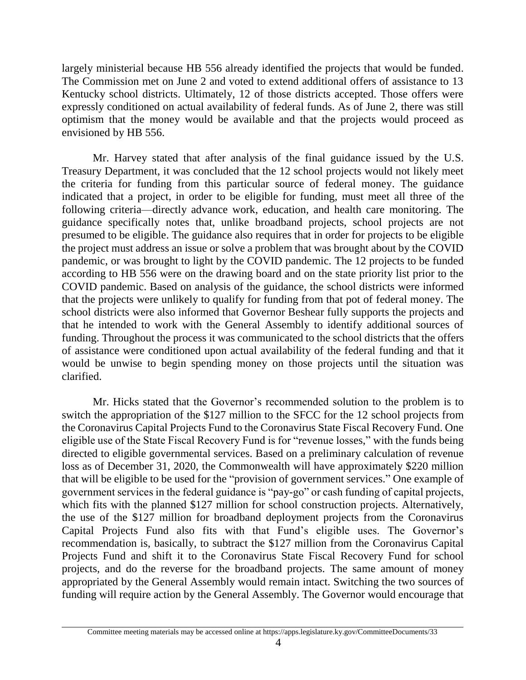largely ministerial because HB 556 already identified the projects that would be funded. The Commission met on June 2 and voted to extend additional offers of assistance to 13 Kentucky school districts. Ultimately, 12 of those districts accepted. Those offers were expressly conditioned on actual availability of federal funds. As of June 2, there was still optimism that the money would be available and that the projects would proceed as envisioned by HB 556.

Mr. Harvey stated that after analysis of the final guidance issued by the U.S. Treasury Department, it was concluded that the 12 school projects would not likely meet the criteria for funding from this particular source of federal money. The guidance indicated that a project, in order to be eligible for funding, must meet all three of the following criteria—directly advance work, education, and health care monitoring. The guidance specifically notes that, unlike broadband projects, school projects are not presumed to be eligible. The guidance also requires that in order for projects to be eligible the project must address an issue or solve a problem that was brought about by the COVID pandemic, or was brought to light by the COVID pandemic. The 12 projects to be funded according to HB 556 were on the drawing board and on the state priority list prior to the COVID pandemic. Based on analysis of the guidance, the school districts were informed that the projects were unlikely to qualify for funding from that pot of federal money. The school districts were also informed that Governor Beshear fully supports the projects and that he intended to work with the General Assembly to identify additional sources of funding. Throughout the process it was communicated to the school districts that the offers of assistance were conditioned upon actual availability of the federal funding and that it would be unwise to begin spending money on those projects until the situation was clarified.

Mr. Hicks stated that the Governor's recommended solution to the problem is to switch the appropriation of the \$127 million to the SFCC for the 12 school projects from the Coronavirus Capital Projects Fund to the Coronavirus State Fiscal Recovery Fund. One eligible use of the State Fiscal Recovery Fund is for "revenue losses," with the funds being directed to eligible governmental services. Based on a preliminary calculation of revenue loss as of December 31, 2020, the Commonwealth will have approximately \$220 million that will be eligible to be used for the "provision of government services." One example of government services in the federal guidance is "pay-go" or cash funding of capital projects, which fits with the planned \$127 million for school construction projects. Alternatively, the use of the \$127 million for broadband deployment projects from the Coronavirus Capital Projects Fund also fits with that Fund's eligible uses. The Governor's recommendation is, basically, to subtract the \$127 million from the Coronavirus Capital Projects Fund and shift it to the Coronavirus State Fiscal Recovery Fund for school projects, and do the reverse for the broadband projects. The same amount of money appropriated by the General Assembly would remain intact. Switching the two sources of funding will require action by the General Assembly. The Governor would encourage that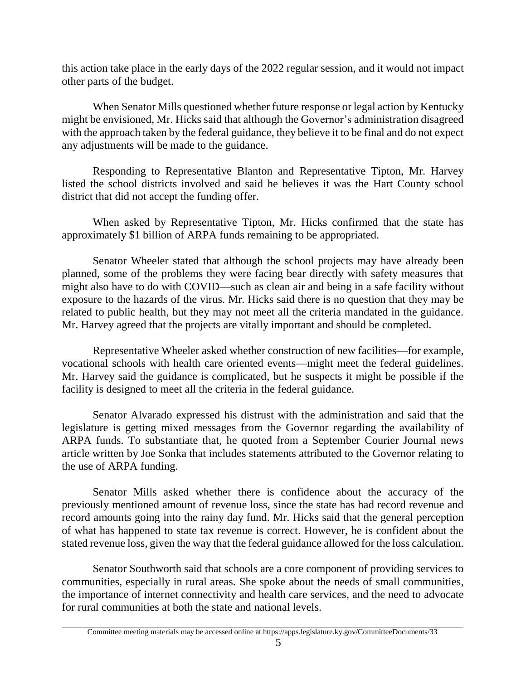this action take place in the early days of the 2022 regular session, and it would not impact other parts of the budget.

When Senator Mills questioned whether future response or legal action by Kentucky might be envisioned, Mr. Hicks said that although the Governor's administration disagreed with the approach taken by the federal guidance, they believe it to be final and do not expect any adjustments will be made to the guidance.

Responding to Representative Blanton and Representative Tipton, Mr. Harvey listed the school districts involved and said he believes it was the Hart County school district that did not accept the funding offer.

When asked by Representative Tipton, Mr. Hicks confirmed that the state has approximately \$1 billion of ARPA funds remaining to be appropriated.

Senator Wheeler stated that although the school projects may have already been planned, some of the problems they were facing bear directly with safety measures that might also have to do with COVID—such as clean air and being in a safe facility without exposure to the hazards of the virus. Mr. Hicks said there is no question that they may be related to public health, but they may not meet all the criteria mandated in the guidance. Mr. Harvey agreed that the projects are vitally important and should be completed.

Representative Wheeler asked whether construction of new facilities—for example, vocational schools with health care oriented events—might meet the federal guidelines. Mr. Harvey said the guidance is complicated, but he suspects it might be possible if the facility is designed to meet all the criteria in the federal guidance.

Senator Alvarado expressed his distrust with the administration and said that the legislature is getting mixed messages from the Governor regarding the availability of ARPA funds. To substantiate that, he quoted from a September Courier Journal news article written by Joe Sonka that includes statements attributed to the Governor relating to the use of ARPA funding.

Senator Mills asked whether there is confidence about the accuracy of the previously mentioned amount of revenue loss, since the state has had record revenue and record amounts going into the rainy day fund. Mr. Hicks said that the general perception of what has happened to state tax revenue is correct. However, he is confident about the stated revenue loss, given the way that the federal guidance allowed for the loss calculation.

Senator Southworth said that schools are a core component of providing services to communities, especially in rural areas. She spoke about the needs of small communities, the importance of internet connectivity and health care services, and the need to advocate for rural communities at both the state and national levels.

Committee meeting materials may be accessed online at https://apps.legislature.ky.gov/CommitteeDocuments/33